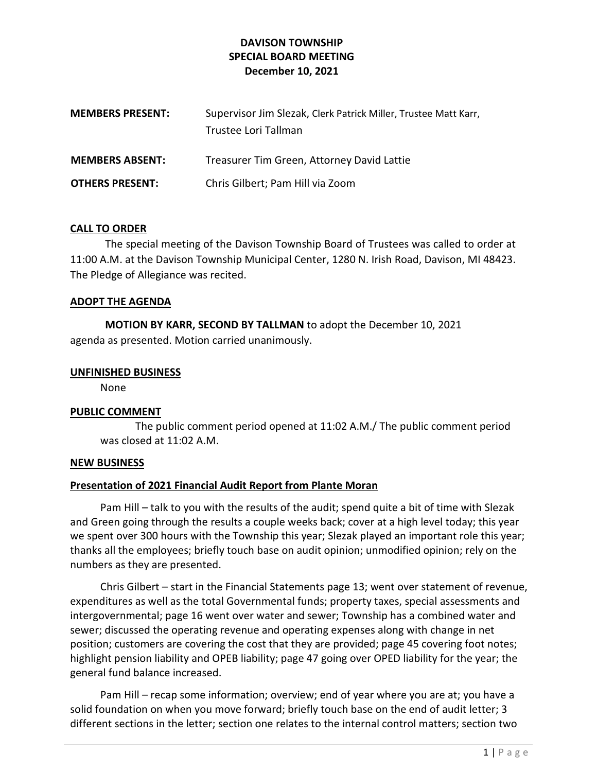## DAVISON TOWNSHIP SPECIAL BOARD MEETING December 10, 2021

| <b>MEMBERS PRESENT:</b> | Supervisor Jim Slezak, Clerk Patrick Miller, Trustee Matt Karr,<br>Trustee Lori Tallman |
|-------------------------|-----------------------------------------------------------------------------------------|
| <b>MEMBERS ABSENT:</b>  | Treasurer Tim Green, Attorney David Lattie                                              |
| <b>OTHERS PRESENT:</b>  | Chris Gilbert; Pam Hill via Zoom                                                        |

### CALL TO ORDER

The special meeting of the Davison Township Board of Trustees was called to order at 11:00 A.M. at the Davison Township Municipal Center, 1280 N. Irish Road, Davison, MI 48423. The Pledge of Allegiance was recited.

#### ADOPT THE AGENDA

MOTION BY KARR, SECOND BY TALLMAN to adopt the December 10, 2021 agenda as presented. Motion carried unanimously.

#### UNFINISHED BUSINESS

None

#### PUBLIC COMMENT

 The public comment period opened at 11:02 A.M./ The public comment period was closed at 11:02 A.M.

#### NEW BUSINESS

#### Presentation of 2021 Financial Audit Report from Plante Moran

 Pam Hill – talk to you with the results of the audit; spend quite a bit of time with Slezak and Green going through the results a couple weeks back; cover at a high level today; this year we spent over 300 hours with the Township this year; Slezak played an important role this year; thanks all the employees; briefly touch base on audit opinion; unmodified opinion; rely on the numbers as they are presented.

 Chris Gilbert – start in the Financial Statements page 13; went over statement of revenue, expenditures as well as the total Governmental funds; property taxes, special assessments and intergovernmental; page 16 went over water and sewer; Township has a combined water and sewer; discussed the operating revenue and operating expenses along with change in net position; customers are covering the cost that they are provided; page 45 covering foot notes; highlight pension liability and OPEB liability; page 47 going over OPED liability for the year; the general fund balance increased.

 Pam Hill – recap some information; overview; end of year where you are at; you have a solid foundation on when you move forward; briefly touch base on the end of audit letter; 3 different sections in the letter; section one relates to the internal control matters; section two